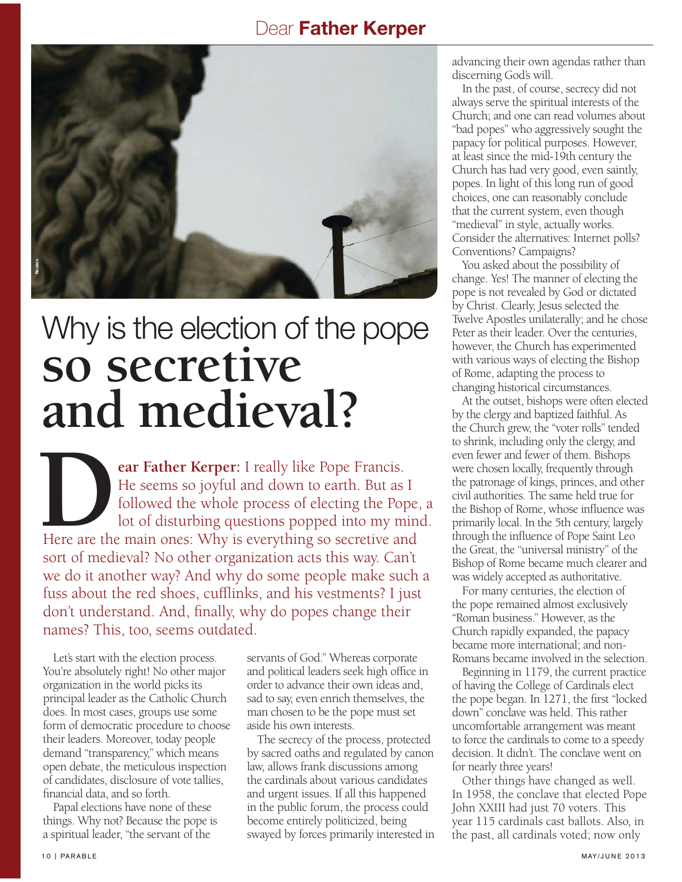## Dear Father Kerper



## Why is the election of the pope **so secretive and medieval?**

**ear Father Kerper:** I really like Pope Francis. He seems so joyful and down to earth. But as I followed the whole process of electing the Pope, a lot of disturbing questions popped into my mind. Here are the main ones: Why is everything so secretive and sort of medieval? No other organization acts this way. Can't we do it another way? And why do some people make such a fuss about the red shoes, cufflinks, and his vestments? I just don't understand. And, finally, why do popes change their names? This, too, seems outdated. **D**

Let's start with the election process. You're absolutely right! No other major organization in the world picks its principal leader as the Catholic Church does. In most cases, groups use some form of democratic procedure to choose their leaders. Moreover, today people demand "transparency," which means open debate, the meticulous inspection of candidates, disclosure of vote tallies, financial data, and so forth.

Papal elections have none of these things. Why not? Because the pope is a spiritual leader, "the servant of the

servants of God." Whereas corporate and political leaders seek high office in order to advance their own ideas and, sad to say, even enrich themselves, the man chosen to be the pope must set aside his own interests.

The secrecy of the process, protected by sacred oaths and regulated by canon law, allows frank discussions among the cardinals about various candidates and urgent issues. If all this happened in the public forum, the process could become entirely politicized, being swayed by forces primarily interested in advancing their own agendas rather than discerning God's will.

In the past, of course, secrecy did not always serve the spiritual interests of the Church; and one can read volumes about "bad popes" who aggressively sought the papacy for political purposes. However, at least since the mid-19th century the Church has had very good, even saintly, popes. In light of this long run of good choices, one can reasonably conclude that the current system, even though "medieval" in style, actually works. Consider the alternatives: Internet polls? Conventions? Campaigns?

You asked about the possibility of change. Yes! The manner of electing the pope is not revealed by God or dictated by Christ. Clearly, Jesus selected the Twelve Apostles unilaterally; and he chose Peter as their leader. Over the centuries, however, the Church has experimented with various ways of electing the Bishop of Rome, adapting the process to changing historical circumstances.

At the outset, bishops were often elected by the clergy and baptized faithful. As the Church grew, the "voter rolls" tended to shrink, including only the clergy, and even fewer and fewer of them. Bishops were chosen locally, frequently through the patronage of kings, princes, and other civil authorities. The same held true for the Bishop of Rome, whose influence was primarily local. In the 5th century, largely through the influence of Pope Saint Leo the Great, the "universal ministry" of the Bishop of Rome became much clearer and was widely accepted as authoritative.

For many centuries, the election of the pope remained almost exclusively "Roman business." However, as the Church rapidly expanded, the papacy became more international; and non-Romans became involved in the selection.

Beginning in 1179, the current practice of having the College of Cardinals elect the pope began. In 1271, the first "locked down" conclave was held. This rather uncomfortable arrangement was meant to force the cardinals to come to a speedy decision. It didn't. The conclave went on for nearly three years!

Other things have changed as well. In 1958, the conclave that elected Pope John XXIII had just 70 voters. This year 115 cardinals cast ballots. Also, in the past, all cardinals voted; now only